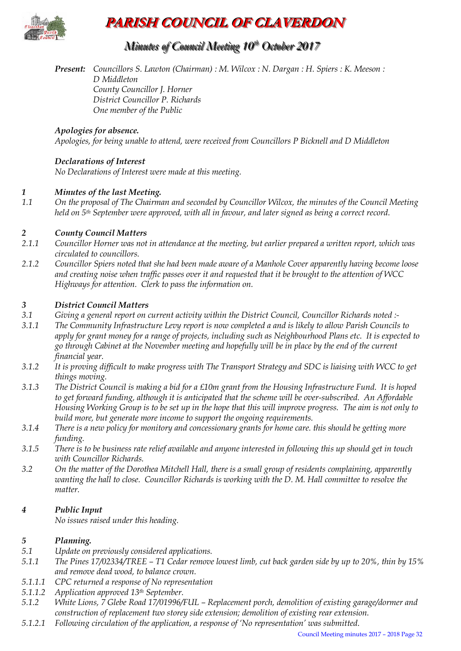

## **PARISH COUNCIL OF CLAVERDON**

### *Minutes of Council Meeting 10 t thh October 2017*

*Present: Councillors S. Lawton (Chairman) : M. Wilcox : N. Dargan : H. Spiers : K. Meeson : D Middleton County Councillor J. Horner District Councillor P. Richards One member of the Public* 

#### *Apologies for absence.*

*Apologies, for being unable to attend, were received from Councillors P Bicknell and D Middleton*

#### *Declarations of Interest*

*No Declarations of Interest were made at this meeting.* 

#### *1 Minutes of the last Meeting.*

*1.1 On the proposal of The Chairman and seconded by Councillor Wilcox, the minutes of the Council Meeting held on 5th September were approved, with all in favour, and later signed as being a correct record.*

#### *2 County Council Matters*

- *2.1.1 Councillor Horner was not in attendance at the meeting, but earlier prepared a written report, which was circulated to councillors.*
- *2.1.2 Councillor Spiers noted that she had been made aware of a Manhole Cover apparently having become loose and creating noise when traffic passes over it and requested that it be brought to the attention of WCC Highways for attention. Clerk to pass the information on.*

#### *3 District Council Matters*

- *3.1 Giving a general report on current activity within the District Council, Councillor Richards noted :-*
- *3.1.1 The Community Infrastructure Levy report is now completed a and is likely to allow Parish Councils to apply for grant money for a range of projects, including such as Neighbourhood Plans etc. It is expected to go through Cabinet at the November meeting and hopefully will be in place by the end of the current financial year.*
- *3.1.2 It is proving difficult to make progress with The Transport Strategy and SDC is liaising with WCC to get things moving.*
- *3.1.3 The District Council is making a bid for a £10m grant from the Housing Infrastructure Fund. It is hoped to get forward funding, although it is anticipated that the scheme will be over-subscribed. An Affordable Housing Working Group is to be set up in the hope that this will improve progress. The aim is not only to build more, but generate more income to support the ongoing requirements.*
- *3.1.4 There is a new policy for monitory and concessionary grants for home care. this should be getting more funding.*
- *3.1.5 There is to be business rate relief available and anyone interested in following this up should get in touch with Councillor Richards.*
- *3.2 On the matter of the Dorothea Mitchell Hall, there is a small group of residents complaining, apparently wanting the hall to close. Councillor Richards is working with the D. M. Hall committee to resolve the matter.*

#### *4 Public Input*

*No issues raised under this heading.* 

#### *5 Planning.*

- *5.1 Update on previously considered applications.*
- *5.1.1 The Pines 17/02334/TREE – T1 Cedar remove lowest limb, cut back garden side by up to 20%, thin by 15% and remove dead wood, to balance crown.*
- *5.1.1.1 CPC returned a response of No representation*
- *5.1.1.2 Application approved 13th September.*
- *5.1.2 White Lions, 7 Glebe Road 17/01996/FUL – Replacement porch, demolition of existing garage/dormer and construction of replacement two storey side extension; demolition of existing rear extension.*
- *5.1.2.1 Following circulation of the application, a response of 'No representation' was submitted.*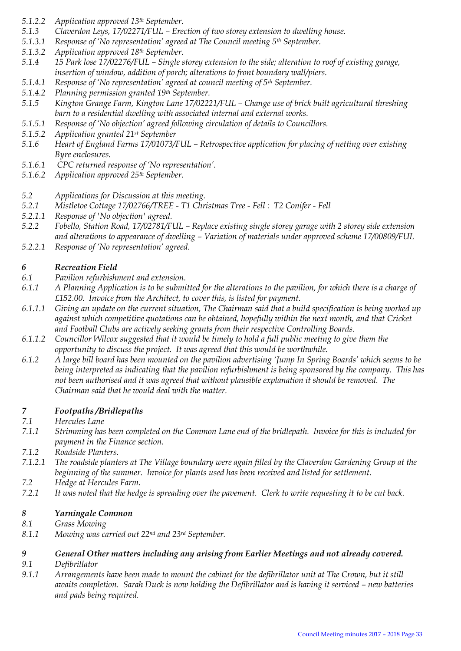- *5.1.2.2 Application approved 13th September.*
- *5.1.3 Claverdon Leys, 17/02271/FUL – Erection of two storey extension to dwelling house.*
- *5.1.3.1 Response of 'No representation' agreed at The Council meeting 5th September.*
- *5.1.3.2 Application approved 18th September.*
- *5.1.4 15 Park lose 17/02276/FUL – Single storey extension to the side; alteration to roof of existing garage, insertion of window, addition of porch; alterations to front boundary wall/piers.*
- *5.1.4.1 Response of 'No representation' agreed at council meeting of 5th September.*
- *5.1.4.2 Planning permission granted 19th September.*
- *5.1.5 Kington Grange Farm, Kington Lane 17/02221/FUL – Change use of brick built agricultural threshing barn to a residential dwelling with associated internal and external works.*
- *5.1.5.1 Response of 'No objection' agreed following circulation of details to Councillors.*
- *5.1.5.2 Application granted 21st September*
- *5.1.6 Heart of England Farms 17/01073/FUL – Retrospective application for placing of netting over existing Byre enclosures.*
- *5.1.6.1 CPC returned response of 'No representation'.*
- *5.1.6.2 Application approved 25th September.*
- *5.2 Applications for Discussion at this meeting.*
- *5.2.1 Mistletoe Cottage 17/02766/TREE - T1 Christmas Tree - Fell : T2 Conifer - Fell*
- *5.2.1.1 Response of 'No objection' agreed.*
- *5.2.2 Fobello, Station Road, 17/02781/FUL – Replace existing single storey garage with 2 storey side extension and alterations to appearance of dwelling – Variation of materials under approved scheme 17/00809/FUL*
- *5.2.2.1 Response of 'No representation' agreed.*

#### *6 Recreation Field*

- *6.1 Pavilion refurbishment and extension.*
- *6.1.1 A Planning Application is to be submitted for the alterations to the pavilion, for which there is a charge of £152.00. Invoice from the Architect, to cover this, is listed for payment.*
- *6.1.1.1 Giving an update on the current situation, The Chairman said that a build specification is being worked up against which competitive quotations can be obtained, hopefully within the next month, and that Cricket and Football Clubs are actively seeking grants from their respective Controlling Boards.*
- *6.1.1.2 Councillor Wilcox suggested that it would be timely to hold a full public meeting to give them the opportunity to discuss the project. It was agreed that this would be worthwhile.*
- *6.1.2 A large bill board has been mounted on the pavilion advertising 'Jump In Spring Boards' which seems to be being interpreted as indicating that the pavilion refurbishment is being sponsored by the company. This has not been authorised and it was agreed that without plausible explanation it should be removed. The Chairman said that he would deal with the matter.*

## *7 Footpaths /Bridlepaths*

- *7.1 Hercules Lane*
- *7.1.1 Strimming has been completed on the Common Lane end of the bridlepath. Invoice for this is included for payment in the Finance section.*
- *7.1.2 Roadside Planters.*
- *7.1.2.1 The roadside planters at The Village boundary were again filled by the Claverdon Gardening Group at the beginning of the summer. Invoice for plants used has been received and listed for settlement.*
- *7.2 Hedge at Hercules Farm.*
- *7.2.1 It was noted that the hedge is spreading over the pavement. Clerk to write requesting it to be cut back.*

#### *8 Yarningale Common*

- *8.1 Grass Mowing*
- *8.1.1 Mowing was carried out 22nd and 23rd September.*

#### *9 General Other matters including any arising from Earlier Meetings and not already covered.*

- *9.1 Defibrillator*
- *9.1.1 Arrangements have been made to mount the cabinet for the defibrillator unit at The Crown, but it still awaits completion. Sarah Duck is now holding the Defibrillator and is having it serviced – new batteries and pads being required.*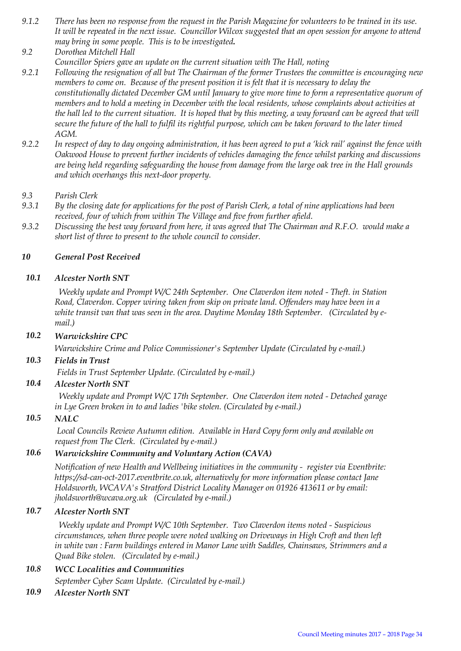- *9.1.2 There has been no response from the request in the Parish Magazine for volunteers to be trained in its use. It will be repeated in the next issue. Councillor Wilcox suggested that an open session for anyone to attend may bring in some people. This is to be investigated.*
- *9.2 Dorothea Mitchell Hall Councillor Spiers gave an update on the current situation with The Hall, noting*
- *9.2.1 Following the resignation of all but The Chairman of the former Trustees the committee is encouraging new members to come on. Because of the present position it is felt that it is necessary to delay the constitutionally dictated December GM until January to give more time to form a representative quorum of members and to hold a meeting in December with the local residents, whose complaints about activities at*  the hall led to the current situation. It is hoped that by this meeting, a way forward can be agreed that will *secure the future of the hall to fulfil its rightful purpose, which can be taken forward to the later timed AGM.*
- *9.2.2 In respect of day to day ongoing administration, it has been agreed to put a 'kick rail' against the fence with Oakwood House to prevent further incidents of vehicles damaging the fence whilst parking and discussions are being held regarding safeguarding the house from damage from the large oak tree in the Hall grounds and which overhangs this next-door property.*

#### *9.3 Parish Clerk*

- *9.3.1 By the closing date for applications for the post of Parish Clerk, a total of nine applications had been received, four of which from within The Village and five from further afield.*
- *9.3.2 Discussing the best way forward from here, it was agreed that The Chairman and R.F.O. would make a short list of three to present to the whole council to consider.*

#### *10 General Post Received*

#### *10.1 Alcester North SNT*

 *Weekly update and Prompt W/C 24th September. One Claverdon item noted - Theft. in Station Road, Claverdon. Copper wiring taken from skip on private land. Offenders may have been in a white transit van that was seen in the area. Daytime Monday 18th September. (Circulated by email.)*

#### *10.2 Warwickshire CPC*

*Warwickshire Crime and Police Commissioner's September Update (Circulated by e-mail.)*

#### *10.3 Fields in Trust*

*Fields in Trust September Update. (Circulated by e-mail.)*

#### *10.4 Alcester North SNT*

 *Weekly update and Prompt W/C 17th September. One Claverdon item noted - Detached garage in Lye Green broken in to and ladies 'bike stolen. (Circulated by e-mail.)*

#### *10.5 NALC*

*Local Councils Review Autumn edition. Available in Hard Copy form only and available on request from The Clerk. (Circulated by e-mail.)*

#### *10.6 Warwickshire Community and Voluntary Action (CAVA)*

*Notification of new Health and Wellbeing initiatives in the community - register via Eventbrite: https://sd-can-oct-2017.eventbrite.co.uk, alternatively for more information please contact Jane Holdsworth, WCAVA's Stratford District Locality Manager on 01926 413611 or by email: jholdsworth@wcava.org.uk (Circulated by e-mail.)*

#### *10.7 Alcester North SNT*

 *Weekly update and Prompt W/C 10th September. Two Claverdon items noted - Suspicious circumstances, when three people were noted walking on Driveways in High Croft and then left in white van : Farm buildings entered in Manor Lane with Saddles, Chainsaws, Strimmers and a Quad Bike stolen. (Circulated by e-mail.)*

#### *10.8 WCC Localities and Communities September Cyber Scam Update. (Circulated by e-mail.)*

*10.9 Alcester North SNT*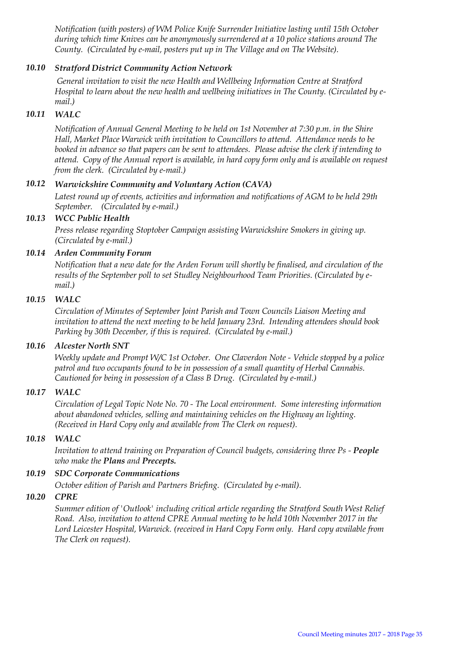*Notification (with posters) of WM Police Knife Surrender Initiative lasting until 15th October during which time Knives can be anonymously surrendered at a 10 police stations around The County. (Circulated by e-mail, posters put up in The Village and on The Website).* 

#### *10.10 Stratford District Community Action Network*

*General invitation to visit the new Health and Wellbeing Information Centre at Stratford Hospital to learn about the new health and wellbeing initiatives in The County. (Circulated by email.)*

#### *10.11 WALC*

*Notification of Annual General Meeting to be held on 1st November at 7:30 p.m. in the Shire Hall, Market Place Warwick with invitation to Councillors to attend. Attendance needs to be booked in advance so that papers can be sent to attendees. Please advise the clerk if intending to attend. Copy of the Annual report is available, in hard copy form only and is available on request from the clerk. (Circulated by e-mail.)*

#### *10.12 Warwickshire Community and Voluntary Action (CAVA)*

*Latest round up of events, activities and information and notifications of AGM to be held 29th September. (Circulated by e-mail.)*

#### *10.13 WCC Public Health*

*Press release regarding Stoptober Campaign assisting Warwickshire Smokers in giving up. (Circulated by e-mail.)*

#### *10.14 Arden Community Forum*

*Notification that a new date for the Arden Forum will shortly be finalised, and circulation of the results of the September poll to set Studley Neighbourhood Team Priorities. (Circulated by email.)*

#### *10.15 WALC*

*Circulation of Minutes of September Joint Parish and Town Councils Liaison Meeting and invitation to attend the next meeting to be held January 23rd. Intending attendees should book Parking by 30th December, if this is required. (Circulated by e-mail.)*

#### *10.16 Alcester North SNT*

*Weekly update and Prompt W/C 1st October. One Claverdon Note - Vehicle stopped by a police patrol and two occupants found to be in possession of a small quantity of Herbal Cannabis. Cautioned for being in possession of a Class B Drug. (Circulated by e-mail.)*

#### *10.17 WALC*

*Circulation of Legal Topic Note No. 70 - The Local environment. Some interesting information about abandoned vehicles, selling and maintaining vehicles on the Highway an lighting. (Received in Hard Copy only and available from The Clerk on request).*

#### *10.18 WALC*

*Invitation to attend training on Preparation of Council budgets, considering three Ps - People who make the Plans and Precepts.*

#### *10.19 SDC Corporate Communications*

*October edition of Parish and Partners Briefing. (Circulated by e-mail).* 

#### *10.20 CPRE*

*Summer edition of 'Outlook' including critical article regarding the Stratford South West Relief Road. Also, invitation to attend CPRE Annual meeting to be held 10th November 2017 in the Lord Leicester Hospital, Warwick. (received in Hard Copy Form only. Hard copy available from The Clerk on request).*